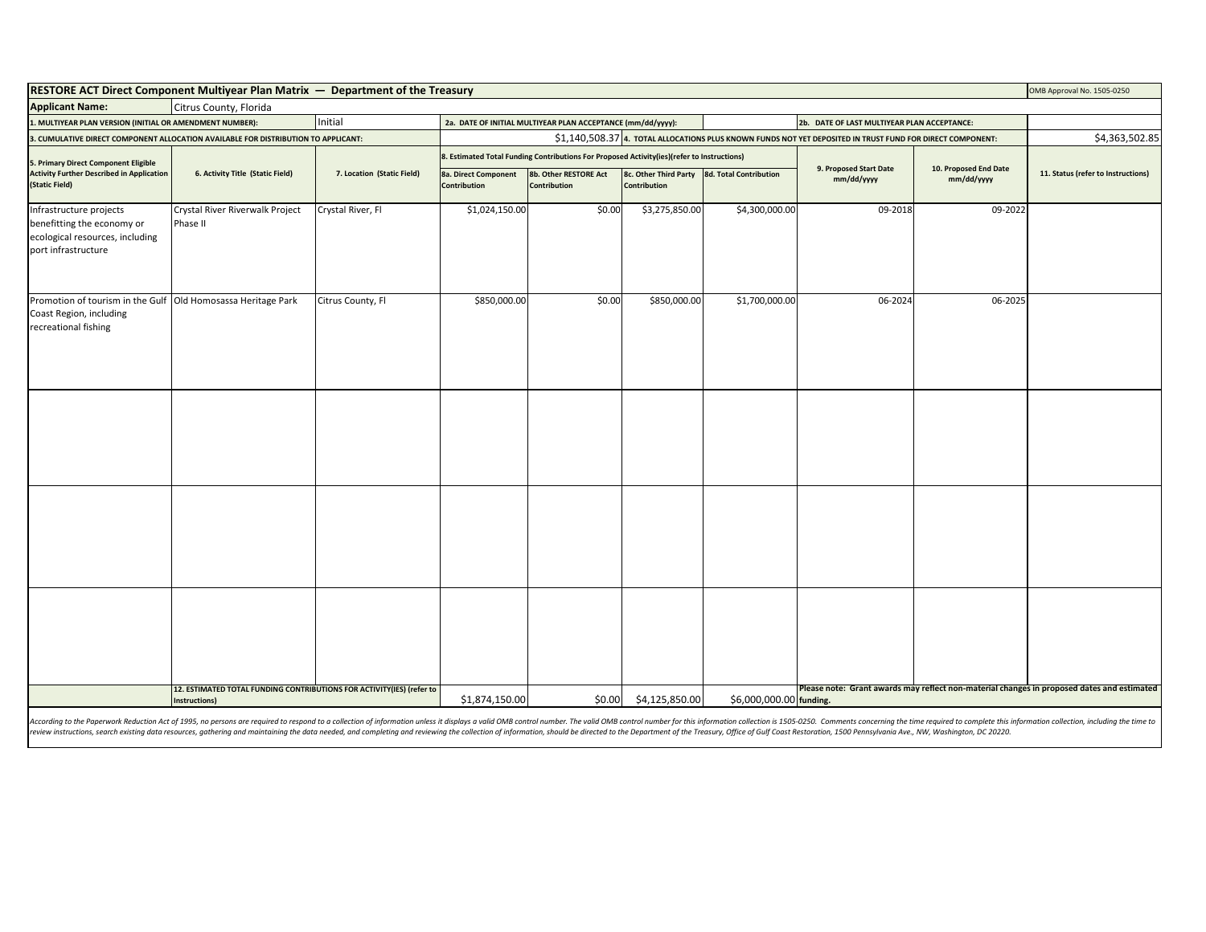| <b>RESTORE ACT Direct Component Multiyear Plan Matrix — Department of the Treasury</b><br>OMB Approval No. 1505-0250 |                                                                       |                            |                                                                                                                                              |                                                             |                                                                                                                       |                |                                             |                |                                    |
|----------------------------------------------------------------------------------------------------------------------|-----------------------------------------------------------------------|----------------------------|----------------------------------------------------------------------------------------------------------------------------------------------|-------------------------------------------------------------|-----------------------------------------------------------------------------------------------------------------------|----------------|---------------------------------------------|----------------|------------------------------------|
| <b>Applicant Name:</b><br>Citrus County, Florida                                                                     |                                                                       |                            |                                                                                                                                              |                                                             |                                                                                                                       |                |                                             |                |                                    |
| I. MULTIYEAR PLAN VERSION (INITIAL OR AMENDMENT NUMBER):                                                             |                                                                       | Initial                    |                                                                                                                                              | 2a. DATE OF INITIAL MULTIYEAR PLAN ACCEPTANCE (mm/dd/yyyy): |                                                                                                                       |                | 2b. DATE OF LAST MULTIYEAR PLAN ACCEPTANCE: |                |                                    |
| . CUMULATIVE DIRECT COMPONENT ALLOCATION AVAILABLE FOR DISTRIBUTION TO APPLICANT:                                    |                                                                       |                            | \$1,140,508.37 4. TOTAL ALLOCATIONS PLUS KNOWN FUNDS NOT YET DEPOSITED IN TRUST FUND FOR DIRECT COMPONENT:                                   |                                                             |                                                                                                                       |                |                                             | \$4,363,502.85 |                                    |
| 5. Primary Direct Component Eligible<br><b>Activity Further Described in Application</b><br>(Static Field)           | 6. Activity Title (Static Field)                                      | 7. Location (Static Field) | . Estimated Total Funding Contributions For Proposed Activity(ies)(refer to Instructions)<br>9. Proposed Start Date<br>10. Proposed End Date |                                                             |                                                                                                                       |                |                                             |                |                                    |
|                                                                                                                      |                                                                       |                            | 8a. Direct Component<br>Contribution                                                                                                         | 8b. Other RESTORE Act<br><b>Contribution</b>                | 8c. Other Third Party 8d. Total Contribution<br><b>Contribution</b>                                                   |                | mm/dd/yyyy                                  | mm/dd/yyyy     | 11. Status (refer to Instructions) |
| Infrastructure projects<br>benefitting the economy or<br>ecological resources, including<br>port infrastructure      | Crystal River Riverwalk Project<br>Phase II                           | Crystal River, Fl          | \$1,024,150.00                                                                                                                               | \$0.00                                                      | \$3,275,850.00                                                                                                        | \$4,300,000.00 | $09 - 2018$                                 | 09-2022        |                                    |
| Promotion of tourism in the Gulf Old Homosassa Heritage Park<br>Coast Region, including<br>recreational fishing      |                                                                       | Citrus County, Fl          | \$850,000.00                                                                                                                                 | \$0.00                                                      | \$850,000.00                                                                                                          | \$1,700,000.00 | 06-2024                                     | 06-2025        |                                    |
|                                                                                                                      |                                                                       |                            |                                                                                                                                              |                                                             |                                                                                                                       |                |                                             |                |                                    |
|                                                                                                                      |                                                                       |                            |                                                                                                                                              |                                                             |                                                                                                                       |                |                                             |                |                                    |
|                                                                                                                      | 12. ESTIMATED TOTAL FUNDING CONTRIBUTIONS FOR ACTIVITY(IES) (refer to |                            |                                                                                                                                              |                                                             |                                                                                                                       |                |                                             |                |                                    |
|                                                                                                                      | Instructions)<br>$-0.005$                                             | \$1,874,150.00             | \$0.00                                                                                                                                       | \$4,125,850.00                                              | Please note: Grant awards may reflect non-material changes in proposed dates and estimated<br>\$6,000,000.00 funding. |                |                                             |                |                                    |

According to the Paperwork Reduction Act of 1995, no persons are required to respond to a collection of information unless it displays a valid OMB control number. The valid OMB control number for this information collectio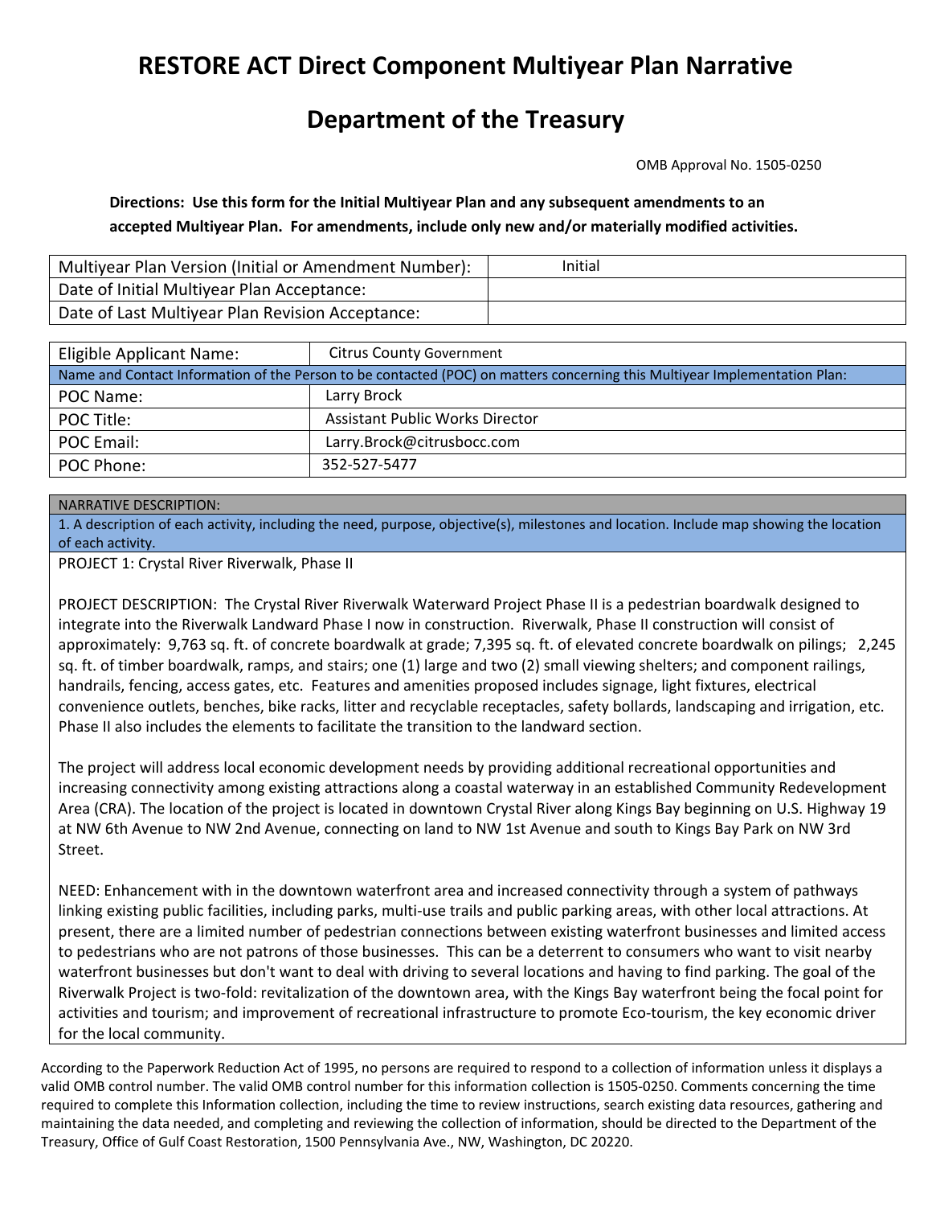## **RESTORE ACT Direct Component Multiyear Plan Narrative**

## **Department of the Treasury**

OMB Approval No. 1505‐0250

Directions: Use this form for the Initial Multiyear Plan and any subsequent amendments to an  **accepted Multiyear Plan. For amendments, include only new and/or materially modified activities.**

| Multiyear Plan Version (Initial or Amendment Number): | Initial |
|-------------------------------------------------------|---------|
| Date of Initial Multiyear Plan Acceptance:            |         |
| Date of Last Multiyear Plan Revision Acceptance:      |         |

| Eligible Applicant Name:                                                                                                   | <b>Citrus County Government</b>        |  |  |  |  |
|----------------------------------------------------------------------------------------------------------------------------|----------------------------------------|--|--|--|--|
| Name and Contact Information of the Person to be contacted (POC) on matters concerning this Multiyear Implementation Plan: |                                        |  |  |  |  |
| POC Name:                                                                                                                  | Larry Brock                            |  |  |  |  |
| POC Title:                                                                                                                 | <b>Assistant Public Works Director</b> |  |  |  |  |
| POC Email:                                                                                                                 | Larry.Brock@citrusbocc.com             |  |  |  |  |
| POC Phone:                                                                                                                 | 352-527-5477                           |  |  |  |  |

## NARRATIVE DESCRIPTION:

 1. A description of each activity, including the need, purpose, objective(s), milestones and location. Include map showing the location of each activity.

PROJECT 1: Crystal River Riverwalk, Phase II

 PROJECT DESCRIPTION: The Crystal River Riverwalk Waterward Project Phase II is a pedestrian boardwalk designed to integrate into the Riverwalk Landward Phase I now in construction. Riverwalk, Phase II construction will consist of approximately: 9,763 sq. ft. of concrete boardwalk at grade; 7,395 sq. ft. of elevated concrete boardwalk on pilings; 2,245 sq. ft. of timber boardwalk, ramps, and stairs; one (1) large and two (2) small viewing shelters; and component railings, handrails, fencing, access gates, etc. Features and amenities proposed includes signage, light fixtures, electrical convenience outlets, benches, bike racks, litter and recyclable receptacles, safety bollards, landscaping and irrigation, etc. Phase II also includes the elements to facilitate the transition to the landward section.

 The project will address local economic development needs by providing additional recreational opportunities and increasing connectivity among existing attractions along a coastal waterway in an established Community Redevelopment Area (CRA). The location of the project is located in downtown Crystal River along Kings Bay beginning on U.S. Highway 19 at NW 6th Avenue to NW 2nd Avenue, connecting on land to NW 1st Avenue and south to Kings Bay Park on NW 3rd Street.

 NEED: Enhancement with in the downtown waterfront area and increased connectivity through a system of pathways linking existing public facilities, including parks, multi‐use trails and public parking areas, with other local attractions. At present, there are a limited number of pedestrian connections between existing waterfront businesses and limited access to pedestrians who are not patrons of those businesses. This can be a deterrent to consumers who want to visit nearby waterfront businesses but don't want to deal with driving to several locations and having to find parking. The goal of the Riverwalk Project is two‐fold: revitalization of the downtown area, with the Kings Bay waterfront being the focal point for activities and tourism; and improvement of recreational infrastructure to promote Eco-tourism, the key economic driver for the local community.

 According to the Paperwork Reduction Act of 1995, no persons are required to respond to a collection of information unless it displays a valid OMB control number. The valid OMB control number for this information collection is 1505‐0250. Comments concerning the time required to complete this Information collection, including the time to review instructions, search existing data resources, gathering and maintaining the data needed, and completing and reviewing the collection of information, should be directed to the Department of the Treasury, Office of Gulf Coast Restoration, 1500 Pennsylvania Ave., NW, Washington, DC 20220.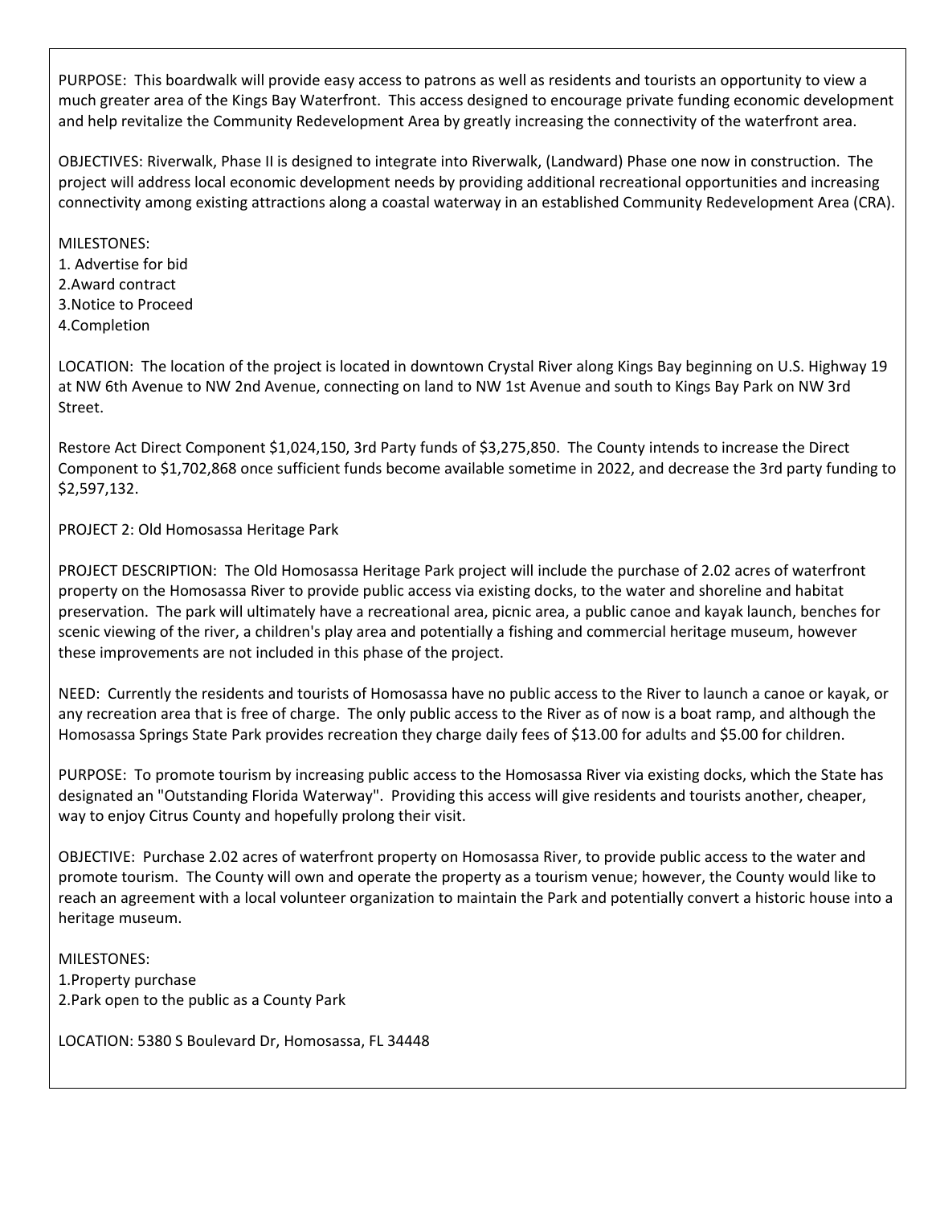PURPOSE: This boardwalk will provide easy access to patrons as well as residents and tourists an opportunity to view a much greater area of the Kings Bay Waterfront. This access designed to encourage private funding economic development and help revitalize the Community Redevelopment Area by greatly increasing the connectivity of the waterfront area.

OBJECTIVES: Riverwalk, Phase II is designed to integrate into Riverwalk, (Landward) Phase one now in construction. The project will address local economic development needs by providing additional recreational opportunities and increasing connectivity among existing attractions along a coastal waterway in an established Community Redevelopment Area (CRA).

MILESTONES: 1. Advertise for bid 2.Award contract 3.Notice to Proceed 4.Completion

LOCATION: The location of the project is located in downtown Crystal River along Kings Bay beginning on U.S. Highway 19 at NW 6th Avenue to NW 2nd Avenue, connecting on land to NW 1st Avenue and south to Kings Bay Park on NW 3rd Street.

Restore Act Direct Component \$1,024,150, 3rd Party funds of \$3,275,850. The County intends to increase the Direct Component to \$1,702,868 once sufficient funds become available sometime in 2022, and decrease the 3rd party funding to \$2,597,132.

PROJECT 2: Old Homosassa Heritage Park

PROJECT DESCRIPTION: The Old Homosassa Heritage Park project will include the purchase of 2.02 acres of waterfront property on the Homosassa River to provide public access via existing docks, to the water and shoreline and habitat preservation. The park will ultimately have a recreational area, picnic area, a public canoe and kayak launch, benches for scenic viewing of the river, a children's play area and potentially a fishing and commercial heritage museum, however these improvements are not included in this phase of the project.

NEED: Currently the residents and tourists of Homosassa have no public access to the River to launch a canoe or kayak, or any recreation area that is free of charge. The only public access to the River as of now is a boat ramp, and although the Homosassa Springs State Park provides recreation they charge daily fees of \$13.00 for adults and \$5.00 for children.

PURPOSE: To promote tourism by increasing public access to the Homosassa River via existing docks, which the State has designated an "Outstanding Florida Waterway". Providing this access will give residents and tourists another, cheaper, way to enjoy Citrus County and hopefully prolong their visit.

OBJECTIVE: Purchase 2.02 acres of waterfront property on Homosassa River, to provide public access to the water and promote tourism. The County will own and operate the property as a tourism venue; however, the County would like to reach an agreement with a local volunteer organization to maintain the Park and potentially convert a historic house into a heritage museum.

MILESTONES: 1.Property purchase 2.Park open to the public as a County Park

LOCATION: 5380 S Boulevard Dr, Homosassa, FL 34448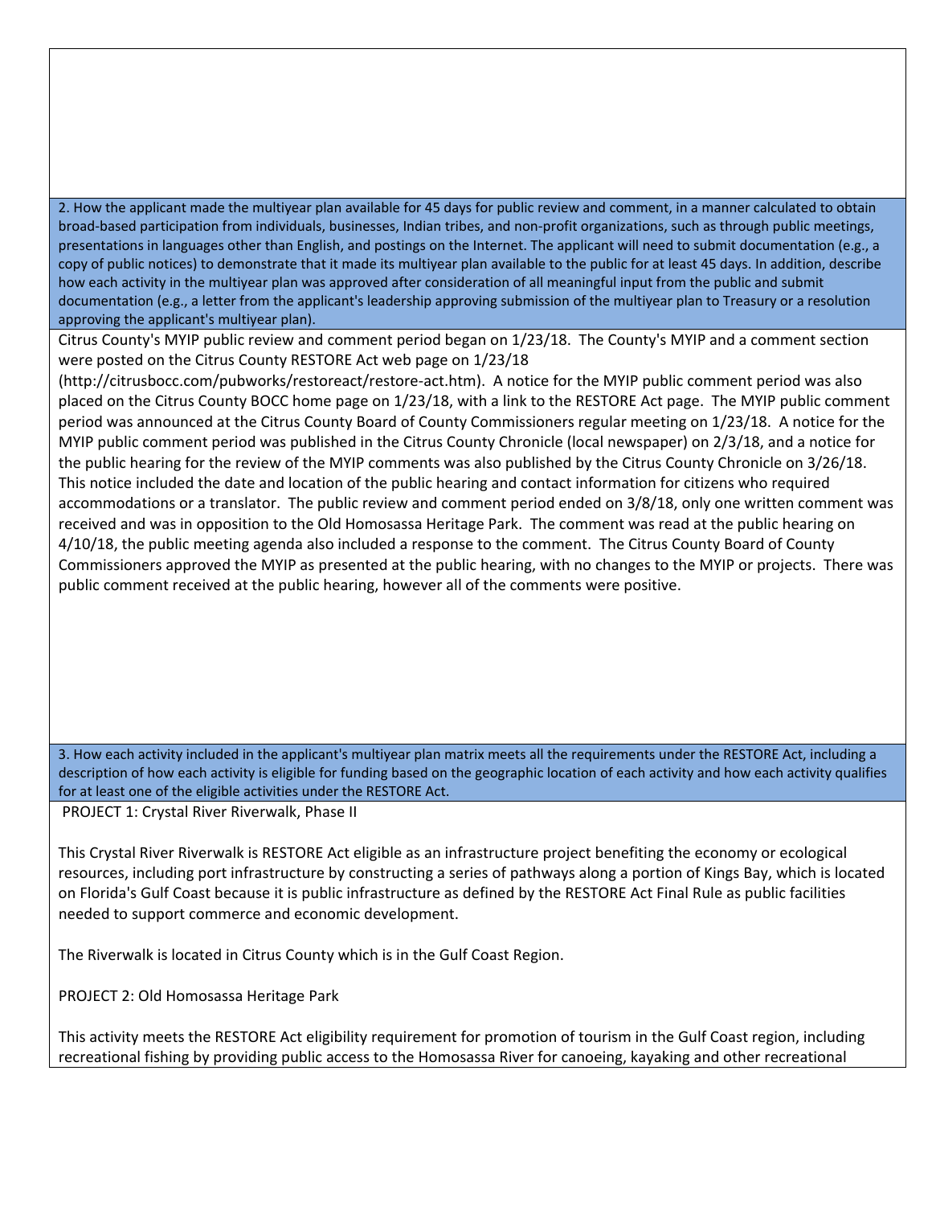2. How the applicant made the multiyear plan available for 45 days for public review and comment, in a manner calculated to obtain broad‐based participation from individuals, businesses, Indian tribes, and non‐profit organizations, such as through public meetings, presentations in languages other than English, and postings on the Internet. The applicant will need to submit documentation (e.g., a copy of public notices) to demonstrate that it made its multiyear plan available to the public for at least 45 days. In addition, describe how each activity in the multiyear plan was approved after consideration of all meaningful input from the public and submit documentation (e.g., a letter from the applicant's leadership approving submission of the multiyear plan to Treasury or a resolution approving the applicant's multiyear plan).

 Citrus County's MYIP public review and comment period began on 1/23/18. The County's MYIP and a comment section were posted on the Citrus County RESTORE Act web page on 1/23/18

 (http://citrusbocc.com/pubworks/restoreact/restore‐act.htm). A notice for the MYIP public comment period was also placed on the Citrus County BOCC home page on 1/23/18, with a link to the RESTORE Act page. The MYIP public comment period was announced at the Citrus County Board of County Commissioners regular meeting on 1/23/18. A notice for the MYIP public comment period was published in the Citrus County Chronicle (local newspaper) on 2/3/18, and a notice for the public hearing for the review of the MYIP comments was also published by the Citrus County Chronicle on 3/26/18. This notice included the date and location of the public hearing and contact information for citizens who required accommodations or a translator. The public review and comment period ended on 3/8/18, only one written comment was received and was in opposition to the Old Homosassa Heritage Park. The comment was read at the public hearing on 4/10/18, the public meeting agenda also included a response to the comment. The Citrus County Board of County Commissioners approved the MYIP as presented at the public hearing, with no changes to the MYIP or projects. There was public comment received at the public hearing, however all of the comments were positive.

 3. How each activity included in the applicant's multiyear plan matrix meets all the requirements under the RESTORE Act, including a description of how each activity is eligible for funding based on the geographic location of each activity and how each activity qualifies for at least one of the eligible activities under the RESTORE Act.

PROJECT 1: Crystal River Riverwalk, Phase II

 This Crystal River Riverwalk is RESTORE Act eligible as an infrastructure project benefiting the economy or ecological resources, including port infrastructure by constructing a series of pathways along a portion of Kings Bay, which is located on Florida's Gulf Coast because it is public infrastructure as defined by the RESTORE Act Final Rule as public facilities needed to support commerce and economic development.

The Riverwalk is located in Citrus County which is in the Gulf Coast Region.

PROJECT 2: Old Homosassa Heritage Park

 This activity meets the RESTORE Act eligibility requirement for promotion of tourism in the Gulf Coast region, including recreational fishing by providing public access to the Homosassa River for canoeing, kayaking and other recreational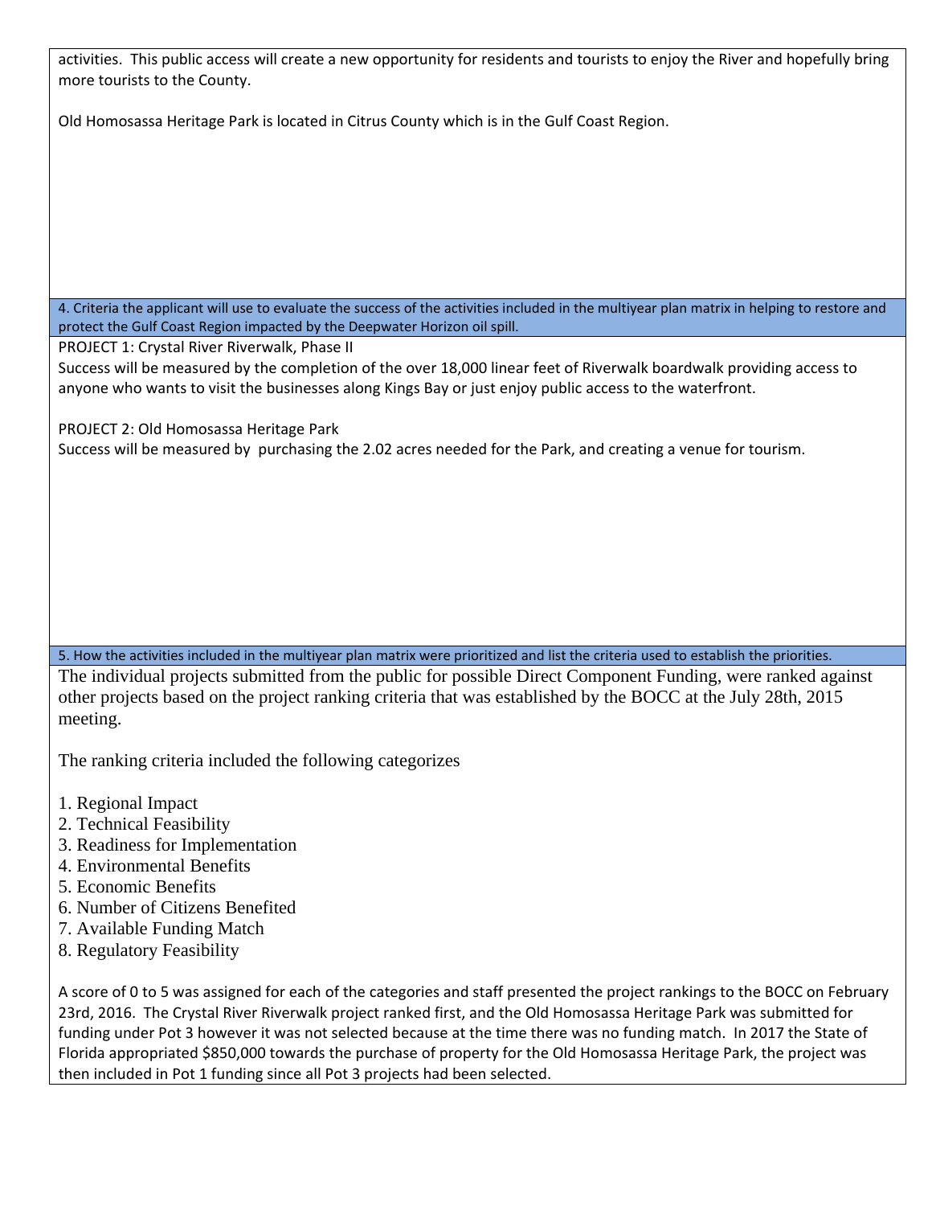activities. This public access will create a new opportunity for residents and tourists to enjoy the River and hopefully bring more tourists to the County.

Old Homosassa Heritage Park is located in Citrus County which is in the Gulf Coast Region.

4. Criteria the applicant will use to evaluate the success of the activities included in the multiyear plan matrix in helping to restore and protect the Gulf Coast Region impacted by the Deepwater Horizon oil spill.

PROJECT 1: Crystal River Riverwalk, Phase II

Success will be measured by the completion of the over 18,000 linear feet of Riverwalk boardwalk providing access to anyone who wants to visit the businesses along Kings Bay or just enjoy public access to the waterfront.

PROJECT 2: Old Homosassa Heritage Park

Success will be measured by purchasing the 2.02 acres needed for the Park, and creating a venue for tourism.

5. How the activities included in the multiyear plan matrix were prioritized and list the criteria used to establish the priorities.

The individual projects submitted from the public for possible Direct Component Funding, were ranked against other projects based on the project ranking criteria that was established by the BOCC at the July 28th, 2015 meeting.

The ranking criteria included the following categorizes

- 1. Regional Impact
- 2. Technical Feasibility
- 3. Readiness for Implementation
- 4. Environmental Benefits
- 5. Economic Benefits
- 6. Number of Citizens Benefited
- 7. Available Funding Match
- 8. Regulatory Feasibility

A score of 0 to 5 was assigned for each of the categories and staff presented the project rankings to the BOCC on February 23rd, 2016. The Crystal River Riverwalk project ranked first, and the Old Homosassa Heritage Park was submitted for funding under Pot 3 however it was not selected because at the time there was no funding match. In 2017 the State of Florida appropriated \$850,000 towards the purchase of property for the Old Homosassa Heritage Park, the project was then included in Pot 1 funding since all Pot 3 projects had been selected.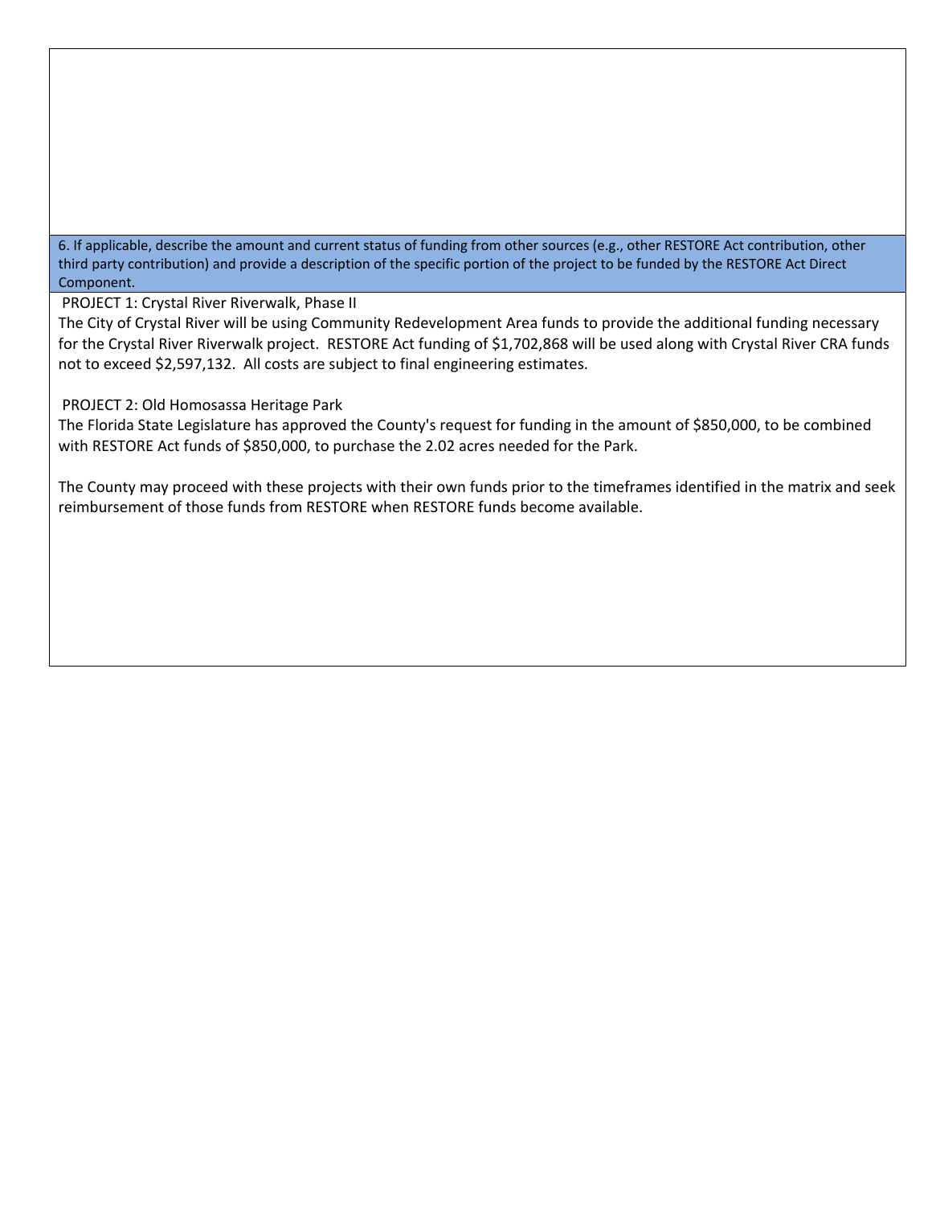6. If applicable, describe the amount and current status of funding from other sources (e.g., other RESTORE Act contribution, other third party contribution) and provide a description of the specific portion of the project to be funded by the RESTORE Act Direct Component.

PROJECT 1: Crystal River Riverwalk, Phase II

The City of Crystal River will be using Community Redevelopment Area funds to provide the additional funding necessary for the Crystal River Riverwalk project. RESTORE Act funding of \$1,702,868 will be used along with Crystal River CRA funds not to exceed \$2,597,132. All costs are subject to final engineering estimates.

PROJECT 2: Old Homosassa Heritage Park

The Florida State Legislature has approved the County's request for funding in the amount of \$850,000, to be combined with RESTORE Act funds of \$850,000, to purchase the 2.02 acres needed for the Park.

The County may proceed with these projects with their own funds prior to the timeframes identified in the matrix and seek reimbursement of those funds from RESTORE when RESTORE funds become available.